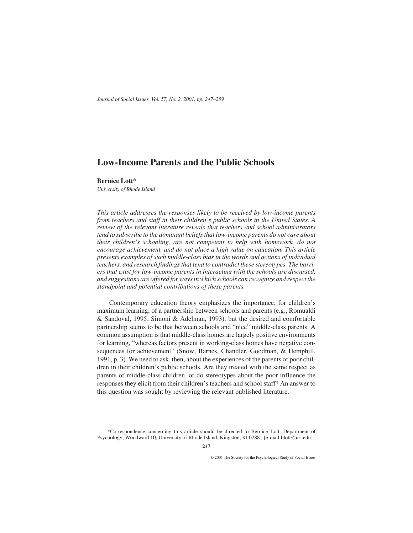# **Low-Income Parents and the Public Schools**

**Bernice Lott\***

*University of Rhode Island*

*This article addresses the responses likely to be received by low-income parents from teachers and staff in their children's public schools in the United States. A review of the relevant literature reveals that teachers and school administrators tend to subscribe to the dominant beliefs that low-income parents do not care about their children's schooling, are not competent to help with homework, do not encourage achievement, and do not place a high value on education. This article presents examples of such middle-class bias in the words and actions of individual teachers, and research findings that tend to contradict these stereotypes. The barriers that exist for low-income parents in interacting with the schools are discussed, and suggestions are offered for ways in which schools can recognize and respect the standpoint and potential contributions of these parents.*

Contemporary education theory emphasizes the importance, for children's maximum learning, of a partnership between schools and parents (e.g., Romualdi & Sandoval, 1995; Simoni & Adelman, 1993), but the desired and comfortable partnership seems to be that between schools and "nice" middle-class parents. A common assumption is that middle-class homes are largely positive environments for learning, "whereas factors present in working-class homes have negative consequences for achievement" (Snow, Barnes, Chandler, Goodman, & Hemphill, 1991, p. 3). We need to ask, then, about the experiences of the parents of poor children in their children's public schools. Are they treated with the same respect as parents of middle-class children, or do stereotypes about the poor influence the responses they elicit from their children's teachers and school staff? An answer to this question was sought by reviewing the relevant published literature.

<sup>\*</sup>Correspondence concerning this article should be directed to Bernice Lott, Department of Psychology, Woodward 10, University of Rhode Island, Kingston, RI 02881 [e-mail:blott@uri.edu].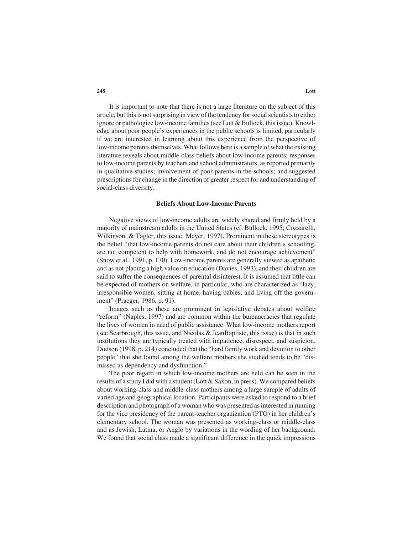It is important to note that there is not a large literature on the subject of this article, but this is not surprising in view of the tendency for social scientists to either ignore or pathologize low-income families (see Lott  $\&$  Bullock, this issue). Knowledge about poor people's experiences in the public schools is limited, particularly if we are interested in learning about this experience from the perspective of low-income parents themselves. What follows here is a sample of what the existing literature reveals about middle-class beliefs about low-income parents; responses to low-income parents by teachers and school administrators, as reported primarily in qualitative studies; involvement of poor parents in the schools; and suggested prescriptions for change in the direction of greater respect for and understanding of social-class diversity.

#### **Beliefs About Low-Income Parents**

Negative views of low-income adults are widely shared and firmly held by a majority of mainstream adults in the United States (cf. Bullock, 1995; Cozzarelli, Wilkinson, & Tagler, this issue; Mayer, 1997). Prominent in these stereotypes is the belief "that low-income parents do not care about their children's schooling, are not competent to help with homework, and do not encourage achievement" (Snow et al., 1991, p. 170). Low-income parents are generally viewed as apathetic and as not placing a high value on education (Davies, 1993), and their children are said to suffer the consequences of parental disinterest. It is assumed that little can be expected of mothers on welfare, in particular, who are characterized as "lazy, irresponsible women, sitting at home, having babies, and living off the government" (Praeger, 1986, p. 91).

Images such as these are prominent in legislative debates about welfare "reform" (Naples, 1997) and are common within the bureaucracies that regulate the lives of women in need of public assistance. What low-income mothers report (see Scarbrough, this issue, and Nicolas & JeanBaptiste, this issue) is that in such institutions they are typically treated with impatience, disrespect, and suspicion. Dodson (1998, p. 214) concluded that the "hard family work and devotion to other people" that she found among the welfare mothers she studied tends to be "dismissed as dependency and dysfunction."

The poor regard in which low-income mothers are held can be seen in the results of a study I did with a student (Lott & Saxon, in press). We compared beliefs about working-class and middle-class mothers among a large sample of adults of varied age and geographical location. Participants were asked to respond to a brief description and photograph of a woman who was presented as interested in running for the vice presidency of the parent-teacher organization (PTO) in her children's elementary school. The woman was presented as working-class or middle-class and as Jewish, Latina, or Anglo by variations in the wording of her background. We found that social class made a significant difference in the quick impressions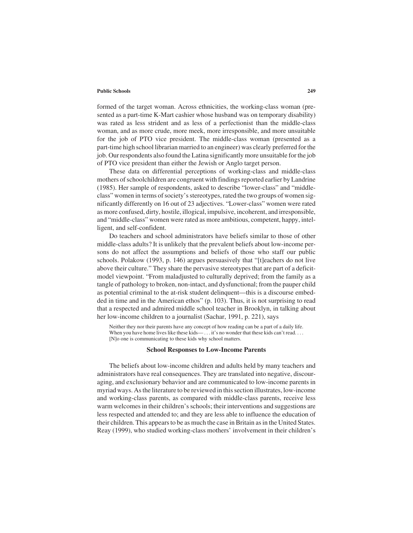formed of the target woman. Across ethnicities, the working-class woman (presented as a part-time K-Mart cashier whose husband was on temporary disability) was rated as less strident and as less of a perfectionist than the middle-class woman, and as more crude, more meek, more irresponsible, and more unsuitable for the job of PTO vice president. The middle-class woman (presented as a part-time high school librarian married to an engineer) was clearly preferred for the job. Our respondents also found the Latina significantly more unsuitable for the job of PTO vice president than either the Jewish or Anglo target person.

These data on differential perceptions of working-class and middle-class mothers of schoolchildren are congruent with findings reported earlier by Landrine (1985). Her sample of respondents, asked to describe "lower-class" and "middleclass" women in terms of society's stereotypes, rated the two groups of women significantly differently on 16 out of 23 adjectives. "Lower-class" women were rated as more confused, dirty, hostile, illogical, impulsive, incoherent, and irresponsible, and "middle-class" women were rated as more ambitious, competent, happy, intelligent, and self-confident.

Do teachers and school administrators have beliefs similar to those of other middle-class adults? It is unlikely that the prevalent beliefs about low-income persons do not affect the assumptions and beliefs of those who staff our public schools. Polakow (1993, p. 146) argues persuasively that "[t]eachers do not live above their culture." They share the pervasive stereotypes that are part of a deficitmodel viewpoint. "From maladjusted to culturally deprived; from the family as a tangle of pathology to broken, non-intact, and dysfunctional; from the pauper child as potential criminal to the at-risk student delinquent—this is a discourse embedded in time and in the American ethos" (p. 103). Thus, it is not surprising to read that a respected and admired middle school teacher in Brooklyn, in talking about her low-income children to a journalist (Sachar, 1991, p. 221), says

Neither they nor their parents have any concept of how reading can be a part of a daily life. When you have home lives like these kids— $\dots$  it's no wonder that these kids can't read. $\dots$ [N]o one is communicating to these kids why school matters.

#### **School Responses to Low-Income Parents**

The beliefs about low-income children and adults held by many teachers and administrators have real consequences. They are translated into negative, discouraging, and exclusionary behavior and are communicated to low-income parents in myriad ways. As the literature to be reviewed in this section illustrates, low-income and working-class parents, as compared with middle-class parents, receive less warm welcomes in their children's schools; their interventions and suggestions are less respected and attended to; and they are less able to influence the education of their children. This appears to be as much the case in Britain as in the United States. Reay (1999), who studied working-class mothers' involvement in their children's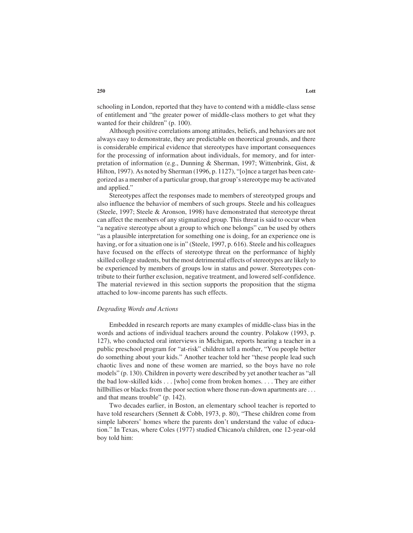schooling in London, reported that they have to contend with a middle-class sense of entitlement and "the greater power of middle-class mothers to get what they wanted for their children" (p. 100).

Although positive correlations among attitudes, beliefs, and behaviors are not always easy to demonstrate, they are predictable on theoretical grounds, and there is considerable empirical evidence that stereotypes have important consequences for the processing of information about individuals, for memory, and for interpretation of information (e.g., Dunning & Sherman, 1997; Wittenbrink, Gist, & Hilton, 1997). As noted by Sherman (1996, p. 1127), "[o]nce a target has been categorized as a member of a particular group, that group's stereotype may be activated and applied."

Stereotypes affect the responses made to members of stereotyped groups and also influence the behavior of members of such groups. Steele and his colleagues (Steele, 1997; Steele & Aronson, 1998) have demonstrated that stereotype threat can affect the members of any stigmatized group. This threat is said to occur when "a negative stereotype about a group to which one belongs" can be used by others "as a plausible interpretation for something one is doing, for an experience one is having, or for a situation one is in" (Steele, 1997, p. 616). Steele and his colleagues have focused on the effects of stereotype threat on the performance of highly skilled college students, but the most detrimental effects of stereotypes are likely to be experienced by members of groups low in status and power. Stereotypes contribute to their further exclusion, negative treatment, and lowered self-confidence. The material reviewed in this section supports the proposition that the stigma attached to low-income parents has such effects.

# *Degrading Words and Actions*

Embedded in research reports are many examples of middle-class bias in the words and actions of individual teachers around the country. Polakow (1993, p. 127), who conducted oral interviews in Michigan, reports hearing a teacher in a public preschool program for "at-risk" children tell a mother, "You people better do something about your kids." Another teacher told her "these people lead such chaotic lives and none of these women are married, so the boys have no role models" (p. 130). Children in poverty were described by yet another teacher as "all the bad low-skilled kids . . . [who] come from broken homes. . . . They are either hillbillies or blacks from the poor section where those run-down apartments are ... and that means trouble" (p. 142).

Two decades earlier, in Boston, an elementary school teacher is reported to have told researchers (Sennett & Cobb, 1973, p. 80), "These children come from simple laborers' homes where the parents don't understand the value of education." In Texas, where Coles (1977) studied Chicano/a children, one 12-year-old boy told him: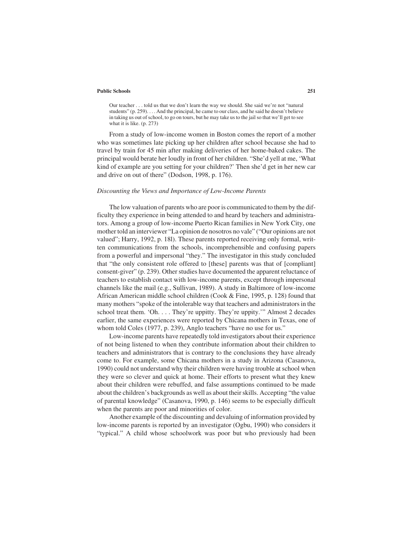Our teacher . . . told us that we don't learn the way we should. She said we're not "natural students" (p. 259). . . . And the principal, he came to our class, and he said he doesn't believe in taking us out of school, to go on tours, but he may take us to the jail so that we'll get to see what it is like. (p. 273)

From a study of low-income women in Boston comes the report of a mother who was sometimes late picking up her children after school because she had to travel by train for 45 min after making deliveries of her home-baked cakes. The principal would berate her loudly in front of her children. "She'd yell at me, 'What kind of example are you setting for your children?' Then she'd get in her new car and drive on out of there" (Dodson, 1998, p. 176).

## *Discounting the Views and Importance of Low-Income Parents*

The low valuation of parents who are poor is communicated to them by the difficulty they experience in being attended to and heard by teachers and administrators. Among a group of low-income Puerto Rican families in New York City, one mother told an interviewer "La opinion de nosotros no vale" ("Our opinions are not valued"; Harry, 1992, p. 18l). These parents reported receiving only formal, written communications from the schools, incomprehensible and confusing papers from a powerful and impersonal "they." The investigator in this study concluded that "the only consistent role offered to [these] parents was that of [compliant] consent-giver" (p. 239). Other studies have documented the apparent reluctance of teachers to establish contact with low-income parents, except through impersonal channels like the mail (e.g., Sullivan, 1989). A study in Baltimore of low-income African American middle school children (Cook & Fine, 1995, p. 128) found that many mothers "spoke of the intolerable way that teachers and administrators in the school treat them. 'Oh. . . . They're uppitty. They're uppity.'" Almost 2 decades earlier, the same experiences were reported by Chicana mothers in Texas, one of whom told Coles (1977, p. 239), Anglo teachers "have no use for us."

Low-income parents have repeatedly told investigators about their experience of not being listened to when they contribute information about their children to teachers and administrators that is contrary to the conclusions they have already come to. For example, some Chicana mothers in a study in Arizona (Casanova, 1990) could not understand why their children were having trouble at school when they were so clever and quick at home. Their efforts to present what they knew about their children were rebuffed, and false assumptions continued to be made about the children's backgrounds as well as about their skills. Accepting "the value of parental knowledge" (Casanova, 1990, p. 146) seems to be especially difficult when the parents are poor and minorities of color.

Another example of the discounting and devaluing of information provided by low-income parents is reported by an investigator (Ogbu, 1990) who considers it "typical." A child whose schoolwork was poor but who previously had been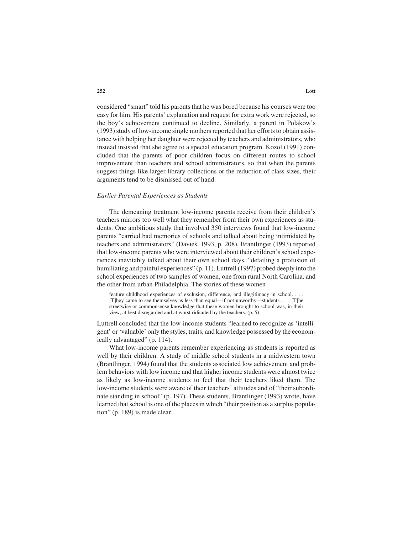considered "smart" told his parents that he was bored because his courses were too easy for him. His parents' explanation and request for extra work were rejected, so the boy's achievement continued to decline. Similarly, a parent in Polakow's (1993) study of low-income single mothers reported that her efforts to obtain assistance with helping her daughter were rejected by teachers and administrators, who instead insisted that she agree to a special education program. Kozol (1991) concluded that the parents of poor children focus on different routes to school improvement than teachers and school administrators, so that when the parents suggest things like larger library collections or the reduction of class sizes, their arguments tend to be dismissed out of hand.

# *Earlier Parental Experiences as Students*

The demeaning treatment low-income parents receive from their children's teachers mirrors too well what they remember from their own experiences as students. One ambitious study that involved 350 interviews found that low-income parents "carried bad memories of schools and talked about being intimidated by teachers and administrators" (Davies, 1993, p. 208). Brantlinger (1993) reported that low-income parents who were interviewed about their children's school experiences inevitably talked about their own school days, "detailing a profusion of humiliating and painful experiences" (p. 11). Luttrell (1997) probed deeply into the school experiences of two samples of women, one from rural North Carolina, and the other from urban Philadelphia. The stories of these women

feature childhood experiences of exclusion, difference, and illegitimacy in school.... [T]hey came to see themselves as less than equal—if not unworthy—students. . . . [T]he streetwise or commonsense knowledge that these women brought to school was, in their view, at best disregarded and at worst ridiculed by the teachers. (p. 5)

Luttrell concluded that the low-income students "learned to recognize as 'intelligent' or 'valuable' only the styles, traits, and knowledge possessed by the economically advantaged" (p. 114).

What low-income parents remember experiencing as students is reported as well by their children. A study of middle school students in a midwestern town (Brantlinger, 1994) found that the students associated low achievement and problem behaviors with low income and that higher income students were almost twice as likely as low-income students to feel that their teachers liked them. The low-income students were aware of their teachers' attitudes and of "their subordinate standing in school" (p. 197). These students, Brantlinger (1993) wrote, have learned that school is one of the places in which "their position as a surplus population" (p. 189) is made clear.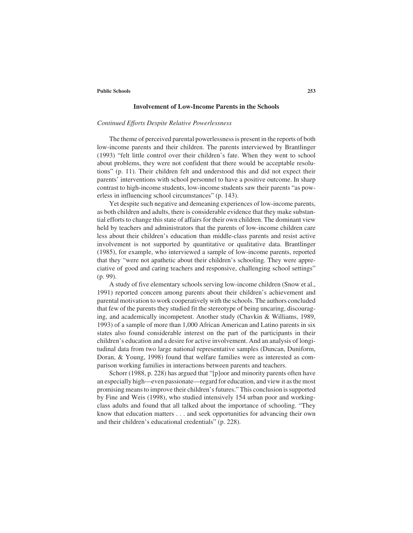## **Involvement of Low-Income Parents in the Schools**

## *Continued Efforts Despite Relative Powerlessness*

The theme of perceived parental powerlessness is present in the reports of both low-income parents and their children. The parents interviewed by Brantlinger (1993) "felt little control over their children's fate. When they went to school about problems, they were not confident that there would be acceptable resolutions" (p. 11). Their children felt and understood this and did not expect their parents' interventions with school personnel to have a positive outcome. In sharp contrast to high-income students, low-income students saw their parents "as powerless in influencing school circumstances" (p. 143).

Yet despite such negative and demeaning experiences of low-income parents, as both children and adults, there is considerable evidence that they make substantial efforts to change this state of affairs for their own children. The dominant view held by teachers and administrators that the parents of low-income children care less about their children's education than middle-class parents and resist active involvement is not supported by quantitative or qualitative data. Brantlinger (1985), for example, who interviewed a sample of low-income parents, reported that they "were not apathetic about their children's schooling. They were appreciative of good and caring teachers and responsive, challenging school settings" (p. 99).

A study of five elementary schools serving low-income children (Snow et al., 1991) reported concern among parents about their children's achievement and parental motivation to work cooperatively with the schools. The authors concluded that few of the parents they studied fit the stereotype of being uncaring, discouraging, and academically incompetent. Another study (Chavkin & Williams, 1989, 1993) of a sample of more than 1,000 African American and Latino parents in six states also found considerable interest on the part of the participants in their children's education and a desire for active involvement. And an analysis of longitudinal data from two large national representative samples (Duncan, Duniform, Doran, & Young, 1998) found that welfare families were as interested as comparison working families in interactions between parents and teachers.

Schorr (1988, p. 228) has argued that "[p]oor and minority parents often have an especially high—even passionate—regard for education, and view it as the most promising means to improve their children's futures." This conclusion is supported by Fine and Weis (1998), who studied intensively 154 urban poor and workingclass adults and found that all talked about the importance of schooling. "They know that education matters . . . and seek opportunities for advancing their own and their children's educational credentials" (p. 228).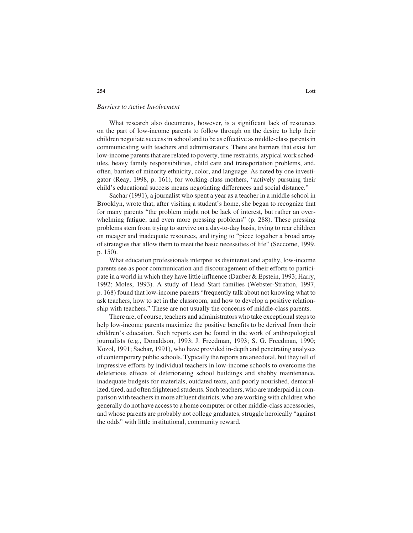# *Barriers to Active Involvement*

What research also documents, however, is a significant lack of resources on the part of low-income parents to follow through on the desire to help their children negotiate success in school and to be as effective as middle-class parents in communicating with teachers and administrators. There are barriers that exist for low-income parents that are related to poverty, time restraints, atypical work schedules, heavy family responsibilities, child care and transportation problems, and, often, barriers of minority ethnicity, color, and language. As noted by one investigator (Reay, 1998, p. 161), for working-class mothers, "actively pursuing their child's educational success means negotiating differences and social distance."

Sachar (1991), a journalist who spent a year as a teacher in a middle school in Brooklyn, wrote that, after visiting a student's home, she began to recognize that for many parents "the problem might not be lack of interest, but rather an overwhelming fatigue, and even more pressing problems" (p. 288). These pressing problems stem from trying to survive on a day-to-day basis, trying to rear children on meager and inadequate resources, and trying to "piece together a broad array of strategies that allow them to meet the basic necessities of life" (Seccome, 1999, p. 150).

What education professionals interpret as disinterest and apathy, low-income parents see as poor communication and discouragement of their efforts to participate in a world in which they have little influence (Dauber & Epstein, 1993; Harry, 1992; Moles, 1993). A study of Head Start families (Webster-Stratton, 1997, p. 168) found that low-income parents "frequently talk about not knowing what to ask teachers, how to act in the classroom, and how to develop a positive relationship with teachers." These are not usually the concerns of middle-class parents.

There are, of course, teachers and administrators who take exceptional steps to help low-income parents maximize the positive benefits to be derived from their children's education. Such reports can be found in the work of anthropological journalists (e.g., Donaldson, 1993; J. Freedman, 1993; S. G. Freedman, 1990; Kozol, 1991; Sachar, 1991), who have provided in-depth and penetrating analyses of contemporary public schools. Typically the reports are anecdotal, but they tell of impressive efforts by individual teachers in low-income schools to overcome the deleterious effects of deteriorating school buildings and shabby maintenance, inadequate budgets for materials, outdated texts, and poorly nourished, demoralized, tired, and often frightened students. Such teachers, who are underpaid in comparison with teachers in more affluent districts, who are working with children who generally do not have access to a home computer or other middle-class accessories, and whose parents are probably not college graduates, struggle heroically "against the odds" with little institutional, community reward.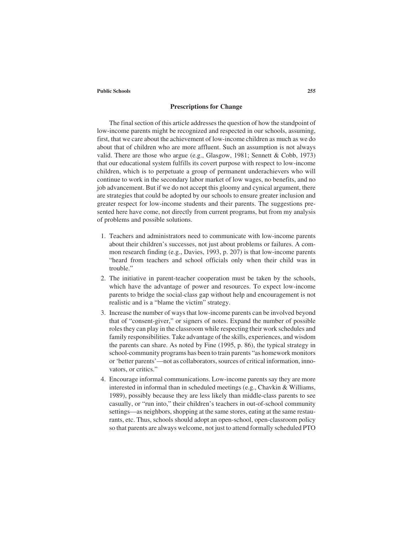#### **Prescriptions for Change**

The final section of this article addresses the question of how the standpoint of low-income parents might be recognized and respected in our schools, assuming, first, that we care about the achievement of low-income children as much as we do about that of children who are more affluent. Such an assumption is not always valid. There are those who argue (e.g., Glasgow, 1981; Sennett & Cobb, 1973) that our educational system fulfills its covert purpose with respect to low-income children, which is to perpetuate a group of permanent underachievers who will continue to work in the secondary labor market of low wages, no benefits, and no job advancement. But if we do not accept this gloomy and cynical argument, there are strategies that could be adopted by our schools to ensure greater inclusion and greater respect for low-income students and their parents. The suggestions presented here have come, not directly from current programs, but from my analysis of problems and possible solutions.

- 1. Teachers and administrators need to communicate with low-income parents about their children's successes, not just about problems or failures. A common research finding (e.g., Davies, 1993, p. 207) is that low-income parents "heard from teachers and school officials only when their child was in trouble."
- 2. The initiative in parent-teacher cooperation must be taken by the schools, which have the advantage of power and resources. To expect low-income parents to bridge the social-class gap without help and encouragement is not realistic and is a "blame the victim" strategy.
- 3. Increase the number of ways that low-income parents can be involved beyond that of "consent-giver," or signers of notes. Expand the number of possible roles they can play in the classroom while respecting their work schedules and family responsibilities. Take advantage of the skills, experiences, and wisdom the parents can share. As noted by Fine (1995, p. 86), the typical strategy in school-community programs has been to train parents "as homework monitors or 'better parents'—not as collaborators, sources of critical information, innovators, or critics."
- 4. Encourage informal communications. Low-income parents say they are more interested in informal than in scheduled meetings (e.g., Chavkin & Williams, 1989), possibly because they are less likely than middle-class parents to see casually, or "run into," their children's teachers in out-of-school community settings—as neighbors, shopping at the same stores, eating at the same restaurants, etc. Thus, schools should adopt an open-school, open-classroom policy so that parents are always welcome, not just to attend formally scheduled PTO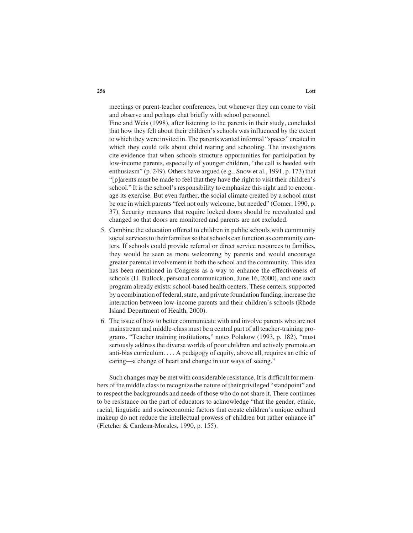meetings or parent-teacher conferences, but whenever they can come to visit and observe and perhaps chat briefly with school personnel.

Fine and Weis (1998), after listening to the parents in their study, concluded that how they felt about their children's schools was influenced by the extent to which they were invited in. The parents wanted informal "spaces" created in which they could talk about child rearing and schooling. The investigators cite evidence that when schools structure opportunities for participation by low-income parents, especially of younger children, "the call is heeded with enthusiasm" (p. 249). Others have argued (e.g., Snow et al., 1991, p. 173) that "[p]arents must be made to feel that they have the right to visit their children's school." It is the school's responsibility to emphasize this right and to encourage its exercise. But even further, the social climate created by a school must be one in which parents "feel not only welcome, but needed" (Comer, 1990, p. 37). Security measures that require locked doors should be reevaluated and changed so that doors are monitored and parents are not excluded.

- 5. Combine the education offered to children in public schools with community social services to their families so that schools can function as community centers. If schools could provide referral or direct service resources to families, they would be seen as more welcoming by parents and would encourage greater parental involvement in both the school and the community. This idea has been mentioned in Congress as a way to enhance the effectiveness of schools (H. Bullock, personal communication, June 16, 2000), and one such program already exists: school-based health centers. These centers, supported by a combination of federal, state, and private foundation funding, increase the interaction between low-income parents and their children's schools (Rhode Island Department of Health, 2000).
- 6. The issue of how to better communicate with and involve parents who are not mainstream and middle-class must be a central part of all teacher-training programs. "Teacher training institutions," notes Polakow (1993, p. 182), "must seriously address the diverse worlds of poor children and actively promote an anti-bias curriculum. ...A pedagogy of equity, above all, requires an ethic of caring—a change of heart and change in our ways of seeing."

Such changes may be met with considerable resistance. It is difficult for members of the middle class to recognize the nature of their privileged "standpoint" and to respect the backgrounds and needs of those who do not share it. There continues to be resistance on the part of educators to acknowledge "that the gender, ethnic, racial, linguistic and socioeconomic factors that create children's unique cultural makeup do not reduce the intellectual prowess of children but rather enhance it" (Fletcher & Cardena-Morales, 1990, p. 155).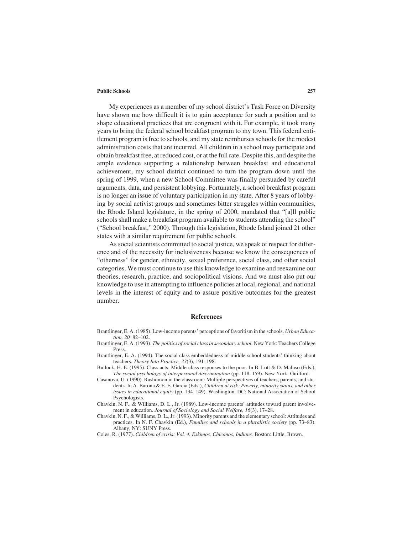My experiences as a member of my school district's Task Force on Diversity have shown me how difficult it is to gain acceptance for such a position and to shape educational practices that are congruent with it. For example, it took many years to bring the federal school breakfast program to my town. This federal entitlement program is free to schools, and my state reimburses schools for the modest administration costs that are incurred. All children in a school may participate and obtain breakfast free, at reduced cost, or at the full rate. Despite this, and despite the ample evidence supporting a relationship between breakfast and educational achievement, my school district continued to turn the program down until the spring of 1999, when a new School Committee was finally persuaded by careful arguments, data, and persistent lobbying. Fortunately, a school breakfast program is no longer an issue of voluntary participation in my state. After 8 years of lobbying by social activist groups and sometimes bitter struggles within communities, the Rhode Island legislature, in the spring of 2000, mandated that "[a]ll public schools shall make a breakfast program available to students attending the school" ("School breakfast," 2000). Through this legislation, Rhode Island joined 21 other states with a similar requirement for public schools.

As social scientists committed to social justice, we speak of respect for difference and of the necessity for inclusiveness because we know the consequences of "otherness" for gender, ethnicity, sexual preference, social class, and other social categories. We must continue to use this knowledge to examine and reexamine our theories, research, practice, and sociopolitical visions. And we must also put our knowledge to use in attempting to influence policies at local, regional, and national levels in the interest of equity and to assure positive outcomes for the greatest number.

## **References**

- Brantlinger, E. A. (1985). Low-income parents' perceptions of favoritism in the schools. *Urban Education, 20,* 82–102.
- Brantlinger, E. A. (1993). *The politics of social class in secondary school.* New York: Teachers College Press.
- Brantlinger, E. A. (1994). The social class embeddedness of middle school students' thinking about teachers. *Theory Into Practice, 33*(3), 191–198.
- Bullock, H. E. (1995). Class acts: Middle-class responses to the poor. In B. Lott & D. Maluso (Eds.), *The social psychology of interpersonal discrimination* (pp. 118–159). New York: Guilford.
- Casanova, U. (1990). Rashomon in the classroom: Multiple perspectives of teachers, parents, and students. In A. Barona & E. E. Garcia (Eds.), *Children at risk: Poverty, minority status, and other issues in educational equity* (pp. 134–149). Washington, DC: National Association of School Psychologists.
- Chavkin, N. F., & Williams, D. L., Jr. (1989). Low-income parents' attitudes toward parent involvement in education. *Journal of Sociology and Social Welfare, 16*(3), 17–28.
- Chavkin, N. F., & Williams, D. L., Jr. (1993). Minority parents and the elementary school: Attitudes and practices. In N. F. Chavkin (Ed.), *Families and schools in a pluralistic society* (pp. 73–83). Albany, NY: SUNY Press.
- Coles, R. (1977). *Children of crisis: Vol. 4. Eskimos, Chicanos, Indians.* Boston: Little, Brown.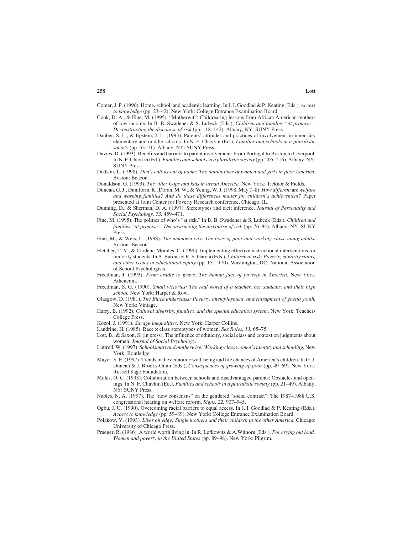- Comer, J. P. (1990). Home, school, and academic learning. In J. I. Goodlad & P. Keating (Eds.), *Access to knowledge* (pp. 23–42). New York: College Entrance Examination Board.
- Cook, D. A., & Fine, M. (1995). "Motherwit": Childrearing lessons from African American mothers of low income. In B. B. Swadener & S. Lubeck (Eds.), *Children and families "at promise": Deconstructing the discourse of risk* (pp. 118–142). Albany, NY: SUNY Press.
- Dauber, S. L., & Epstein, J. L. (1993). Parents' attitudes and practices of involvement in inner-city elementary and middle schools. In N. F. Chavkin (Ed.), *Families and schools in a pluralistic society* (pp. 53–71). Albany, NY: SUNY Press.
- Davies, D. (1993). Benefits and barriers to parent involvement: From Portugal to Boston to Liverpool. In N. F. Chavkin (Ed.), *Families and schools in a pluralistic society* (pp. 205–216). Albany, NY: SUNY Press.
- Dodson, L. (1998). *Don't call us out of name: The untold lives of women and girls in poor America.* Boston: Beacon.
- Donaldson, G. (1993). *The ville: Cops and kids in urban America.* New York: Ticknor & Fields.
- Duncan, G. J., Duniform, R., Doran, M. W., & Yeung, W. J. (1998, May 7–8). *How different* are *welfare and working families? And do these differences matter for children's achievement?* Paper presented at Joint Center for Poverty Research conference, Chicago, IL.
- Dunning, D., & Sherman, D. A. (1997). Stereotypes and tacit inference. *Journal of Personality and Social Psychology, 73,* 459–471.
- Fine, M. (1995). The politics of who's "at risk." In B. B. Swadener & S. Lubeck (Eds.), *Children and families "at promise": Deconstructing the discourse of risk* (pp. 76–94). Albany, NY: SUNY Press.
- Fine, M., & Weis, L. (1998). *The unknown city: The lives of poor and working-class young adults.* Boston: Beacon.
- Fletcher, T. V., & Cardena-Morales, C. (1990). Implementing effective instructional interventions for minority students. In A. Barona & E. E. Garcia (Eds.), *Children at risk: Poverty, minority status, and other issues in educational equity* (pp. 151–170). Washington, DC: National Association of School Psychologists.
- Freedman, J. (1993). *From cradle to grave: The human face of poverty in America.* New York: Atheneum.
- Freedman, S. G. (1990). *Small victories: The real world of a teacher, her students, and their high school.* New York: Harper & Row.
- Glasgow, D. (1981). *The Black underclass: Poverty, unemployment, and entrapment of ghetto youth.* New York: Vintage.
- Harry, B. (1992). *Cultural diversity, families, and the special education system.* New York: Teachers College Press.
- Kozol, J. (1991). *Savage inequalities.* New York: Harper Collins.
- Landrine, H. (1985). Race × class stereotypes of women. *Sex Roles, 13,* 65–75.
- Lott, B., & Saxon, S. (in press). The influence of ethnicity, social class and context on judgments about women. *Journal of Social Psychology.*
- Luttrell, W. (1997). *Schoolsmart and motherwise: Working-class women's identity and schooling.* New York: Routledge.
- Mayer, S. E. (1997). Trends in the economic well-being and life chances of America's children. In G. J. Duncan & J. Brooks-Gunn (Eds.), *Consequences of growing up poor* (pp. 49–69). New York: Russell Sage Foundation.
- Moles, O. C. (1993). Collaboration between schools and disadvantaged parents: Obstacles and openings. In N. F. Chavkin (Ed.), *Families and schools in a pluralistic society* (pp. 21–49). Albany, NY: SUNY Press.
- Naples, N. A. (1997). The "new consensus" on the gendered "social contract": The 1987–1988 U.S. congressional hearing on welfare reform. *Signs, 22,* 907–945.
- Ogbu, J. U. (1990). Overcoming racial barriers to equal access. In J. I. Goodlad & P. Keating (Eds.), *Access to knowledge* (pp. 59–89). New York: College Entrance Examination Board.
- Polakow, V. (1993). *Lives on edge: Single mothers and their children in the other America.* Chicago: University of Chicago Press.
- Praeger, R. (1986). A world worth living in. In R. Lefkowitz & A.Withorn (Eds.), *For crying out loud: Women and poverty in the United States* (pp. 89–98). New York: Pilgrim.